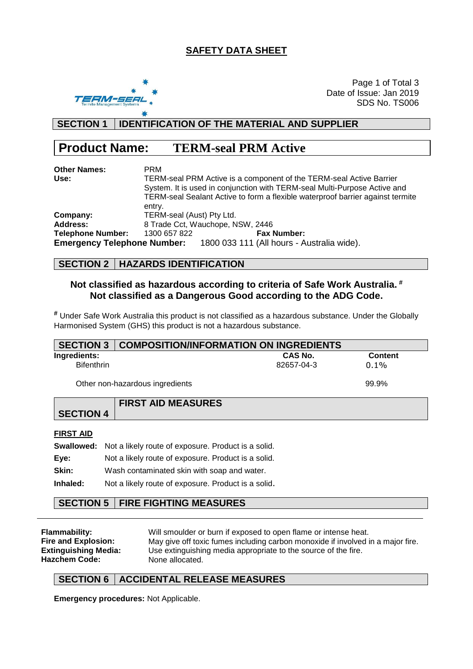## **SAFETY DATA SHEET**



Page 1 of Total 3 Date of Issue: Jan 2019 SDS No. TS006

## **SECTION 1 IDENTIFICATION OF THE MATERIAL AND SUPPLIER**

# **Product Name: TERM-seal PRM Active**

| <b>Other Names:</b>      | <b>PRM</b>                                                                     |                                                                               |  |  |  |
|--------------------------|--------------------------------------------------------------------------------|-------------------------------------------------------------------------------|--|--|--|
| Use:                     | TERM-seal PRM Active is a component of the TERM-seal Active Barrier            |                                                                               |  |  |  |
|                          | System. It is used in conjunction with TERM-seal Multi-Purpose Active and      |                                                                               |  |  |  |
|                          | TERM-seal Sealant Active to form a flexible waterproof barrier against termite |                                                                               |  |  |  |
|                          | entry.                                                                         |                                                                               |  |  |  |
| Company:                 | TERM-seal (Aust) Pty Ltd.                                                      |                                                                               |  |  |  |
| <b>Address:</b>          | 8 Trade Cct, Wauchope, NSW, 2446                                               |                                                                               |  |  |  |
| <b>Telephone Number:</b> | 1300 657 822                                                                   | <b>Fax Number:</b>                                                            |  |  |  |
|                          |                                                                                | <b>Emergency Telephone Number:</b> 1800 033 111 (All hours - Australia wide). |  |  |  |

#### **SECTION 2 HAZARDS IDENTIFICATION**

### **Not classified as hazardous according to criteria of Safe Work Australia. # Not classified as a Dangerous Good according to the ADG Code.**

**#** Under Safe Work Australia this product is not classified as a hazardous substance. Under the Globally Harmonised System (GHS) this product is not a hazardous substance.

| <b>SECTION 3</b>                |                                                     | <b>COMPOSITION/INFORMATION ON INGREDIENTS</b> |            |                |  |  |
|---------------------------------|-----------------------------------------------------|-----------------------------------------------|------------|----------------|--|--|
| Ingredients:                    |                                                     |                                               | CAS No.    | <b>Content</b> |  |  |
| <b>Bifenthrin</b>               |                                                     |                                               | 82657-04-3 | $0.1\%$        |  |  |
| Other non-hazardous ingredients |                                                     | 99.9%                                         |            |                |  |  |
|                                 |                                                     | <b>FIRST AID MEASURES</b>                     |            |                |  |  |
| <b>SECTION 4</b>                |                                                     |                                               |            |                |  |  |
| <b>FIRST AID</b>                |                                                     |                                               |            |                |  |  |
| Swallowed:                      | Not a likely route of exposure. Product is a solid. |                                               |            |                |  |  |
| Eye:                            | Not a likely route of exposure. Product is a solid. |                                               |            |                |  |  |
| Skin:                           | Wash contaminated skin with soap and water.         |                                               |            |                |  |  |
| Inhaled:                        | Not a likely route of exposure. Product is a solid. |                                               |            |                |  |  |

## **SECTION 5 FIRE FIGHTING MEASURES**

**Flammability:** Will smoulder or burn if exposed to open flame or intense heat. **Fire and Explosion:** May give off toxic fumes including carbon monoxide if involved in a major fire. **Extinguishing Media:** Use extinguishing media appropriate to the source of the fire. Hazchem Code: None allocated.

## **SECTION 6 ACCIDENTAL RELEASE MEASURES**

**Emergency procedures:** Not Applicable.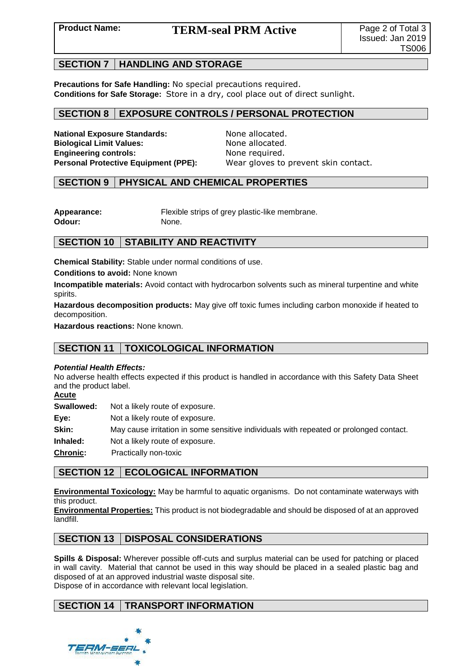# **Product Name:** TERM-seal PRM Active Page 2 of Total 3

### **SECTION 7 HANDLING AND STORAGE**

**Precautions for Safe Handling:** No special precautions required. **Conditions for Safe Storage:** Store in a dry, cool place out of direct sunlight.

### **SECTION 8 EXPOSURE CONTROLS / PERSONAL PROTECTION**

**National Exposure Standards:** None allocated. **Biological Limit Values:** None allocated. **Engineering controls:** None required.

**Personal Protective Equipment (PPE):** Wear gloves to prevent skin contact.

#### **SECTION 9 PHYSICAL AND CHEMICAL PROPERTIES**

**Appearance:** Flexible strips of grey plastic-like membrane. **Odour:** None.

## **SECTION 10 STABILITY AND REACTIVITY**

**Chemical Stability:** Stable under normal conditions of use.

**Conditions to avoid:** None known

**Incompatible materials:** Avoid contact with hydrocarbon solvents such as mineral turpentine and white spirits.

**Hazardous decomposition products:** May give off toxic fumes including carbon monoxide if heated to decomposition.

**Hazardous reactions:** None known.

## **SECTION 11 TOXICOLOGICAL INFORMATION**

#### *Potential Health Effects:*

No adverse health effects expected if this product is handled in accordance with this Safety Data Sheet and the product label.

**Acute**

**Swallowed:** Not a likely route of exposure.

**Eye:** Not a likely route of exposure.

**Skin:** May cause irritation in some sensitive individuals with repeated or prolonged contact.

**Inhaled:** Not a likely route of exposure.

**Chronic:** Practically non-toxic

## **SECTION 12 ECOLOGICAL INFORMATION**

**Environmental Toxicology:** May be harmful to aquatic organisms. Do not contaminate waterways with this product.

**Environmental Properties:** This product is not biodegradable and should be disposed of at an approved landfill.

## **SECTION 13 DISPOSAL CONSIDERATIONS**

**Spills & Disposal:** Wherever possible off-cuts and surplus material can be used for patching or placed in wall cavity. Material that cannot be used in this way should be placed in a sealed plastic bag and disposed of at an approved industrial waste disposal site. Dispose of in accordance with relevant local legislation.

## **SECTION 14 TRANSPORT INFORMATION**